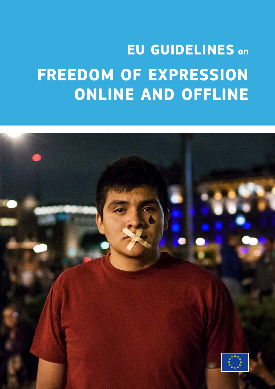# **FREEDOM OF EXPRESSION ONLINE AND OFFLINE EU GUIDELINES on**

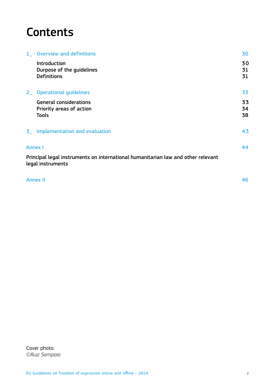### **Contents**

|                                                                                                       | 1_ Overview and definitions                                               | 30             |  |  |
|-------------------------------------------------------------------------------------------------------|---------------------------------------------------------------------------|----------------|--|--|
|                                                                                                       | <b>Introduction</b><br>Durpose of the guidelines<br><b>Definitions</b>    | 30<br>31<br>31 |  |  |
|                                                                                                       | 2 <sub>_</sub> Operational guidelines                                     | 33             |  |  |
|                                                                                                       | <b>General considerations</b><br>Priority areas of action<br><b>Tools</b> | 33<br>34<br>38 |  |  |
|                                                                                                       | 3_ Implementation and evaluation                                          | 43             |  |  |
|                                                                                                       | <b>Annex I</b>                                                            |                |  |  |
| Principal legal instruments on international humanitarian law and other relevant<br>legal instruments |                                                                           |                |  |  |

| <b>Annex II</b> |  | 46 |
|-----------------|--|----|
|                 |  |    |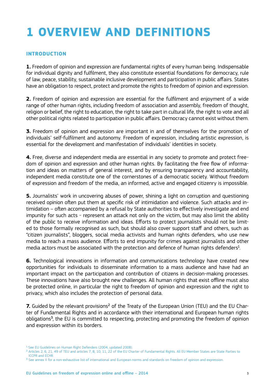## **1 OVERVIEW AND DEFINITIONS**

#### **INTRODUCTION**

**1.** Freedom of opinion and expression are fundamental rights of every human being. Indispensable for individual dignity and fulfilment, they also constitute essential foundations for democracy, rule of law, peace, stability, sustainable inclusive development and participation in public affairs. States have an obligation to respect, protect and promote the rights to freedom of opinion and expression.

**2.** Freedom of opinion and expression are essential for the fulfilment and enjoyment of a wide range of other human rights, including freedom of association and assembly, freedom of thought, religion or belief, the right to education, the right to take part in cultural life, the right to vote and all other political rights related to participation in public affairs. Democracy cannot exist without them.

**3.** Freedom of opinion and expression are important in and of themselves for the promotion of individuals' self-fulfilment and autonomy. Freedom of expression, including artistic expression, is essential for the development and manifestation of individuals' identities in society.

**4.** Free, diverse and independent media are essential in any society to promote and protect freedom of opinion and expression and other human rights. By facilitating the free flow of information and ideas on matters of general interest, and by ensuring transparency and accountability, independent media constitute one of the cornerstones of a democratic society. Without freedom of expression and freedom of the media, an informed, active and engaged citizenry is impossible.

**5.** Journalists' work in uncovering abuses of power, shining a light on corruption and questioning received opinion often put them at specific risk of intimidation and violence. Such attacks and intimidation – often accompanied by a refusal by State authorities to effectively investigate and end impunity for such acts - represent an attack not only on the victim, but may also limit the ability of the public to receive information and ideas. Efforts to protect journalists should not be limited to those formally recognised as such, but should also cover support staff and others, such as "citizen journalists", bloggers, social media activists and human rights defenders, who use new media to reach a mass audience. Efforts to end impunity for crimes against journalists and other media actors must be associated with the protection and defence of human rights defenders<sup>1</sup>.

**6.** Technological innovations in information and communications technology have created new opportunities for individuals to disseminate information to a mass audience and have had an important impact on the participation and contribution of citizens in decision-making processes. These innovations have also brought new challenges. All human rights that exist offline must also be protected online, in particular the right to freedom of opinion and expression and the right to privacy, which also includes the protection of personal data.

**7.** Guided by the relevant provisions<sup>2</sup> of the Treaty of the European Union (TEU) and the EU Charter of Fundamental Rights and in accordance with their international and European human rights obligations<sup>3</sup>, the EU is committed to respecting, protecting and promoting the freedom of opinion and expression within its borders.

<sup>&</sup>lt;sup>1</sup> See EU Guidelines on Human Right Defenders (2004, updated 2008).

² Articles 2, 6, 21, 49 of TEU and articles 7, 8, 10, 11, 22 of the EU Charter of Fundamental Rights. All EU Member States are State Parties to ICCPR and ECHR.

<sup>&</sup>lt;sup>3</sup> See annex II for a non-exhaustive list of international and European norms and standards on freedom of opinion and expression.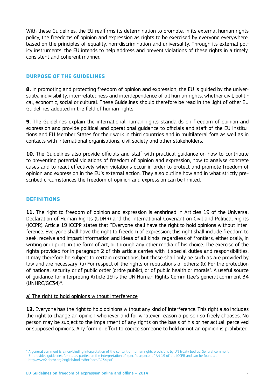With these Guidelines, the EU reaffirms its determination to promote, in its external human rights policy, the freedoms of opinion and expression as rights to be exercised by everyone everywhere, based on the principles of equality, non-discrimination and universality. Through its external policy instruments, the EU intends to help address and prevent violations of these rights in a timely, consistent and coherent manner.

#### **DURPOSE OF THE GUIDELINES**

**8.** In promoting and protecting freedom of opinion and expression, the EU is guided by the universality, indivisibility, inter-relatedness and interdependence of all human rights, whether civil, political, economic, social or cultural. These Guidelines should therefore be read in the light of other EU Guidelines adopted in the field of human rights.

**9.** The Guidelines explain the international human rights standards on freedom of opinion and expression and provide political and operational guidance to officials and staff of the EU Institutions and EU Member States for their work in third countries and in multilateral fora as well as in contacts with international organisations, civil society and other stakeholders.

**10.** The Guidelines also provide officials and staff with practical guidance on how to contribute to preventing potential violations of freedom of opinion and expression, how to analyse concrete cases and to react effectively when violations occur in order to protect and promote freedom of opinion and expression in the EU's external action. They also outline how and in what strictly prescribed circumstances the freedom of opinion and expression can be limited.

#### **DEFINITIONS**

**11.** The right to freedom of opinion and expression is enshrined in Articles 19 of the Universal Declaration of Human Rights (UDHR) and the International Covenant on Civil and Political Rights (ICCPR). Article 19 ICCPR states that ''Everyone shall have the right to hold opinions without interference. Everyone shall have the right to freedom of expression; this right shall include freedom to seek, receive and impart information and ideas of all kinds, regardless of frontiers, either orally, in writing or in print, in the form of art, or through any other media of his choice. The exercise of the rights provided for in paragraph 2 of this article carries with it special duties and responsibilities. It may therefore be subject to certain restrictions, but these shall only be such as are provided by law and are necessary: (a) For respect of the rights or reputations of others; (b) For the protection of national security or of public order (ordre public), or of public health or morals". A useful source of guidance for interpreting Article 19 is the UN Human Rights Committee's general comment 34 (UNHRC/GC34)⁴.

#### a) The right to hold opinions without interference

**12.** Everyone has the right to hold opinions without any kind of interference. This right also includes the right to change an opinion whenever and for whatever reason a person so freely chooses. No person may be subject to the impairment of any rights on the basis of his or her actual, perceived or supposed opinions. Any form or effort to coerce someone to hold or not an opinion is prohibited.

⁴ A general comment is a non-binding interpretation of the content of human rights provisions by UN treaty bodies. General comment 34 provides guidelines for states parties on the interpretation of specific aspects of Art 19 of the ICCPR and can be found at http://www2.ohchr.org/english/bodies/hrc/docs/GC34.pdf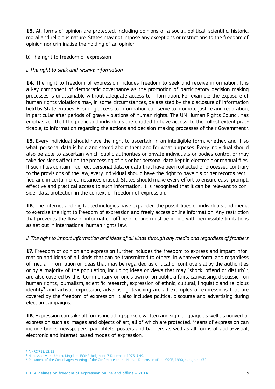**13.** All forms of opinion are protected, including opinions of a social, political, scientific, historic, moral and religious nature. States may not impose any exceptions or restrictions to the freedom of opinion nor criminalise the holding of an opinion.

#### b) The right to freedom of expression

#### *i. The right to seek and receive information*

**14.** The right to freedom of expression includes freedom to seek and receive information. It is a key component of democratic governance as the promotion of participatory decision-making processes is unattainable without adequate access to information. For example the exposure of human rights violations may, in some circumstances, be assisted by the disclosure of information held by State entities. Ensuring access to information can serve to promote justice and reparation, in particular after periods of grave violations of human rights. The UN Human Rights Council has emphasized that the public and individuals are entitled to have access, to the fullest extent practicable, to information regarding the actions and decision-making processes of their Government<sup>5</sup>.

**15.** Every individual should have the right to ascertain in an intelligible form, whether, and if so what, personal data is held and stored about them and for what purposes. Every individual should also be able to ascertain which public authorities or private individuals or bodies control or may take decisions affecting the processing of his or her personal data kept in electronic or manual files. If such files contain incorrect personal data or data that have been collected or processed contrary to the provisions of the law, every individual should have the right to have his or her records rectified and in certain circumstances erased. States should make every effort to ensure easy, prompt, effective and practical access to such information. It is recognised that it can be relevant to consider data protection in the context of freedom of expression.

**16.** The Internet and digital technologies have expanded the possibilities of individuals and media to exercise the right to freedom of expression and freely access online information. Any restriction that prevents the flow of information offline or online must be in line with permissible limitations as set out in international human rights law.

#### *ii. The right to impart information and ideas of all kinds through any media and regardless of frontiers*

**17.** Freedom of opinion and expression further includes the freedom to express and impart information and ideas of all kinds that can be transmitted to others, in whatever form, and regardless of media. Information or ideas that may be regarded as critical or controversial by the authorities or by a majority of the population, including ideas or views that may "shock, offend or disturb"<sup>6</sup>, are also covered by this. Commentary on one's own or on public affairs, canvassing, discussion on human rights, journalism, scientific research, expression of ethnic, cultural, linguistic and religious identity<sup>7</sup> and artistic expression, advertising, teaching are all examples of expressions that are covered by the freedom of expression. It also includes political discourse and advertising during election campaigns.

**18.** Expression can take all forms including spoken, written and sign language as well as nonverbal expression such as images and objects of art, all of which are protected. Means of expression can include books, newspapers, pamphlets, posters and banners as well as all forms of audio-visual, electronic and internet-based modes of expression.

⁵ A/HRC/RES/12/12

⁶ Handyside v. the United Kingdom, ECtHR Judgment, 7 December 1976, § 49.

⁷ Document of the Copenhagen Meeting of the Conference on the Human Dimension of the CSCE, 1990, paragraph (32)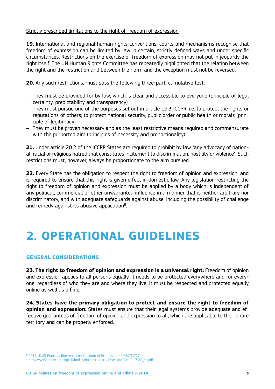#### Strictly prescribed limitations to the right of freedom of expression

**19.** International and regional human rights conventions, courts and mechanisms recognise that freedom of expression can be limited by law in certain, strictly defined ways and under specific circumstances. Restrictions on the exercise of freedom of expression may not put in jeopardy the right itself. The UN Human Rights Committee has repeatedly highlighted that the relation between the right and the restriction and between the norm and the exception must not be reversed.

**20.** Any such restrictions, must pass the following three-part, cumulative test:

- They must be provided for by law, which is clear and accessible to everyone (principle of legal certainty, predictability and transparency)
- They must pursue one of the purposes set out in article 19.3 ICCPR, i.e. to protect the rights or reputations of others; to protect national security, public order or public health or morals (principle of legitimacy)
- They must be proven necessary and as the least restrictive means required and commensurate with the purported aim (principles of necessity and proportionality).

**21.** Under article 20.2 of the ICCPR States are required to prohibit by law "any advocacy of national, racial or religious hatred that constitutes incitement to discrimination, hostility or violence". Such restrictions must, however, always be proportionate to the aim pursued.

**22.** Every State has the obligation to respect the right to freedom of opinion and expression, and is required to ensure that this right is given effect in domestic law. Any legislation restricting the right to freedom of opinion and expression must be applied by a body which is independent of any political, commercial or other unwarranted influence in a manner that is neither arbitrary nor discriminatory, and with adequate safeguards against abuse, including the possibility of challenge and remedy against its abusive application<sup>8</sup>.

### **2. OPERATIONAL GUIDELINES**

#### **GENERAL CONSIDERATIONS**

**23. The right to freedom of opinion and expression is a universal right:** Freedom of opinion and expression applies to all persons equally. It needs to be protected everywhere and for everyone, regardless of who they are and where they live. It must be respected and protected equally online as well as offline.

**24. States have the primary obligation to protect and ensure the right to freedom of opinion and expression:** States must ensure that their legal systems provide adequate and effective guarantees of freedom of opinion and expression to all, which are applicable to their entire territory and can be properly enforced.

⁸ 2011 UNSR Frank La Rue report on Freedom of Expression - A/HRC/17/27 http://www2.ohchr.org/english/bodies/hrcouncil/docs/17session/A.HRC.17.27\_en.pdf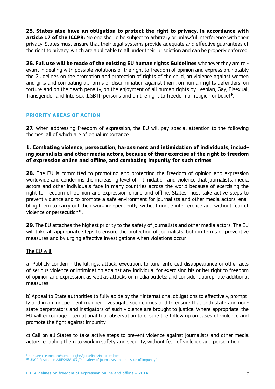**25. States also have an obligation to protect the right to privacy, in accordance with article 17 of the ICCPR:** No one should be subject to arbitrary or unlawful interference with their privacy. States must ensure that their legal systems provide adequate and effective guarantees of the right to privacy, which are applicable to all under their jurisdiction and can be properly enforced.

**26. Full use will be made of the existing EU human rights Guidelines** whenever they are relevant in dealing with possible violations of the right to freedom of opinion and expression, notably the Guidelines on the promotion and protection of rights of the child, on violence against women and girls and combating all forms of discrimination against them, on human rights defenders, on torture and on the death penalty, on the enjoyment of all human rights by Lesbian, Gay, Bisexual, Transgender and Intersex (LGBTI) persons and on the right to freedom of religion or belief<sup>9</sup>.

#### **PRIORITY AREAS OF ACTION**

**27.** When addressing freedom of expression, the EU will pay special attention to the following themes, all of which are of equal importance:

#### **1. Combating violence, persecution, harassment and intimidation of individuals, including journalists and other media actors, because of their exercise of the right to freedom of expression online and offline, and combating impunity for such crimes**

**28.** The EU is committed to promoting and protecting the freedom of opinion and expression worldwide and condemns the increasing level of intimidation and violence that journalists, media actors and other individuals face in many countries across the world because of exercising the right to freedom of opinion and expression online and offline. States must take active steps to prevent violence and to promote a safe environment for journalists and other media actors, enabling them to carry out their work independently, without undue interference and without fear of violence or persecution<sup>10</sup>.

**29.** The EU attaches the highest priority to the safety of journalists and other media actors. The EU will take all appropriate steps to ensure the protection of journalists, both in terms of preventive measures and by urging effective investigations when violations occur.

#### The EU will:

a) Publicly condemn the killings, attack, execution, torture, enforced disappearance or other acts of serious violence or intimidation against any individual for exercising his or her right to freedom of opinion and expression, as well as attacks on media outlets; and consider appropriate additional measures.

b) Appeal to State authorities to fully abide by their international obligations to effectively, promptly and in an independent manner investigate such crimes and to ensure that both state and nonstate perpetrators and instigators of such violence are brought to justice. Where appropriate, the EU will encourage international trial observation to ensure the follow up on cases of violence and promote the fight against impunity.

c) Call on all States to take active steps to prevent violence against journalists and other media actors, enabling them to work in safety and security, without fear of violence and persecution.

⁹ http://eeas.europa.eu/human\_rights/guidelines/index\_en.htm

<sup>&</sup>lt;sup>10</sup> UNGA Resolution A/RES/68/163 "The safety of journalists and the issue of impunity"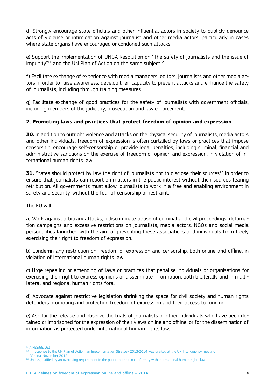d) Strongly encourage state officials and other influential actors in society to publicly denounce acts of violence or intimidation against journalist and other media actors, particularly in cases where state organs have encouraged or condoned such attacks.

e) Support the implementation of UNGA Resolution on "The safety of journalists and the issue of impunity"<sup>11</sup> and the UN Plan of Action on the same subject<sup>12</sup>.

f) Facilitate exchange of experience with media managers, editors, journalists and other media actors in order to raise awareness, develop their capacity to prevent attacks and enhance the safety of journalists, including through training measures.

g) Facilitate exchange of good practices for the safety of journalists with government officials, including members of the judiciary, prosecution and law enforcement.

#### **2. Promoting laws and practices that protect freedom of opinion and expression**

**30.** In addition to outright violence and attacks on the physical security of journalists, media actors and other individuals, freedom of expression is often curtailed by laws or practices that impose censorship, encourage self-censorship or provide legal penalties, including criminal, financial and administrative sanctions on the exercise of freedom of opinion and expression, in violation of international human rights law.

**31.** States should protect by law the right of journalists not to disclose their sources<sup>13</sup> in order to ensure that journalists can report on matters in the public interest without their sources fearing retribution. All governments must allow journalists to work in a free and enabling environment in safety and security, without the fear of censorship or restraint.

#### The EU will:

a) Work against arbitrary attacks, indiscriminate abuse of criminal and civil proceedings, defamation campaigns and excessive restrictions on journalists, media actors, NGOs and social media personalities launched with the aim of preventing these associations and individuals from freely exercising their right to freedom of expression.

b) Condemn any restriction on freedom of expression and censorship, both online and offline, in violation of international human rights law.

c) Urge repealing or amending of laws or practices that penalise individuals or organisations for exercising their right to express opinions or disseminate information, both bilaterally and in multilateral and regional human rights fora.

d) Advocate against restrictive legislation shrinking the space for civil society and human rights defenders promoting and protecting freedom of expression and their access to funding.

e) Ask for the release and observe the trials of journalists or other individuals who have been detained or imprisoned for the expression of their views online and offline, or for the dissemination of information as protected under international human rights law.

 $11$  A/RFS/68/163

<sup>&</sup>lt;sup>12</sup> In response to the UN Plan of Action, an Implementation Strategy 2013/2014 was drafted at the UN Inter-agency meeting

<sup>(</sup>Vienna, November 2012)

<sup>&</sup>lt;sup>13</sup> Unless justified by an overriding requirement in the public interest in conformity with international human rights law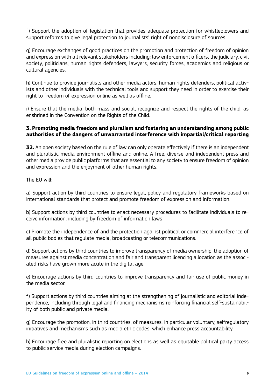f) Support the adoption of legislation that provides adequate protection for whistleblowers and support reforms to give legal protection to journalists' right of nondisclosure of sources.

g) Encourage exchanges of good practices on the promotion and protection of freedom of opinion and expression with all relevant stakeholders including: law enforcement officers, the judiciary, civil society, politicians, human rights defenders, lawyers, security forces, academics and religious or cultural agencies.

h) Continue to provide journalists and other media actors, human rights defenders, political activists and other individuals with the technical tools and support they need in order to exercise their right to freedom of expression online as well as offline.

i) Ensure that the media, both mass and social, recognize and respect the rights of the child, as enshrined in the Convention on the Rights of the Child.

#### **3. Promoting media freedom and pluralism and fostering an understanding among public authorities of the dangers of unwarranted interference with impartial/critical reporting**

**32.** An open society based on the rule of law can only operate effectively if there is an independent and pluralistic media environment offline and online. A free, diverse and independent press and other media provide public platforms that are essential to any society to ensure freedom of opinion and expression and the enjoyment of other human rights.

#### The EU will:

a) Support action by third countries to ensure legal, policy and regulatory frameworks based on international standards that protect and promote freedom of expression and information.

b) Support actions by third countries to enact necessary procedures to facilitate individuals to receive information, including by freedom of information laws

c) Promote the independence of and the protection against political or commercial interference of all public bodies that regulate media, broadcasting or telecommunications.

d) Support actions by third countries to improve transparency of media ownership, the adoption of measures against media concentration and fair and transparent licencing allocation as the associated risks have grown more acute in the digital age.

e) Encourage actions by third countries to improve transparency and fair use of public money in the media sector.

f) Support actions by third countries aiming at the strengthening of journalistic and editorial independence, including through legal and financing mechanisms reinforcing financial self-sustainability of both public and private media.

g) Encourage the promotion, in third countries, of measures, in particular voluntary, selfregulatory initiatives and mechanisms such as media ethic codes, which enhance press accountability.

h) Encourage free and pluralistic reporting on elections as well as equitable political party access to public service media during election campaigns.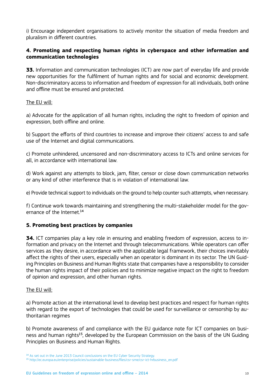i) Encourage independent organisations to actively monitor the situation of media freedom and pluralism in different countries.

#### **4. Promoting and respecting human rights in cyberspace and other information and communication technologies**

**33.** Information and communication technologies (ICT) are now part of everyday life and provide new opportunities for the fulfilment of human rights and for social and economic development. Non-discriminatory access to information and freedom of expression for all individuals, both online and offline must be ensured and protected.

#### The EU will:

a) Advocate for the application of all human rights, including the right to freedom of opinion and expression, both offline and online.

b) Support the efforts of third countries to increase and improve their citizens' access to and safe use of the Internet and digital communications.

c) Promote unhindered, uncensored and non-discriminatory access to ICTs and online services for all, in accordance with international law.

d) Work against any attempts to block, jam, filter, censor or close down communication networks or any kind of other interference that is in violation of international law.

e) Provide technical support to individuals on the ground to help counter such attempts, when necessary.

f) Continue work towards maintaining and strengthening the multi-stakeholder model for the governance of the Internet.<sup>14</sup>

#### **5. Promoting best practices by companies**

**34.** ICT companies play a key role in ensuring and enabling freedom of expression, access to information and privacy on the Internet and through telecommunications. While operators can offer services as they desire, in accordance with the applicable legal framework, their choices inevitably affect the rights of their users, especially when an operator is dominant in its sector. The UN Guiding Principles on Business and Human Rights state that companies have a responsibility to consider the human rights impact of their policies and to minimize negative impact on the right to freedom of opinion and expression, and other human rights.

#### The EU will:

a) Promote action at the international level to develop best practices and respect for human rights with regard to the export of technologies that could be used for surveillance or censorship by authoritarian regimes

b) Promote awareness of and compliance with the EU guidance note for ICT companies on business and human rights<sup>15</sup>, developed by the European Commission on the basis of the UN Guiding Principles on Business and Human Rights.

<sup>&</sup>lt;sup>14</sup> As set out in the June 2013 Council conclusions on the EU Cyber Security Strategy.

<sup>15</sup> http://ec.europa.eu/enterprise/policies/sustainable-business/files/csr-sme/csr-ict-hrbusiness\_en.pdf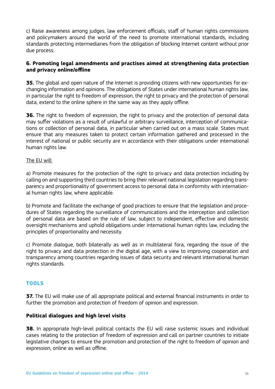c) Raise awareness among judges, law enforcement officials, staff of human rights commissions and policymakers around the world of the need to promote international standards, including standards protecting intermediaries from the obligation of blocking Internet content without prior due process.

#### **6. Promoting legal amendments and practises aimed at strengthening data protection and privacy online/offline**

**35.** The global and open nature of the Internet is providing citizens with new opportunities for exchanging information and opinions. The obligations of States under international human rights law, in particular the right to freedom of expression, the right to privacy and the protection of personal data, extend to the online sphere in the same way as they apply offline.

**36.** The right to freedom of expression, the right to privacy and the protection of personal data may suffer violations as a result of unlawful or arbitrary surveillance, interception of communications or collection of personal data, in particular when carried out on a mass scale. States must ensure that any measures taken to protect certain information gathered and processed in the interest of national or public security are in accordance with their obligations under international human rights law.

#### The EU will:

a) Promote measures for the protection of the right to privacy and data protection including by calling on and supporting third countries to bring their relevant national legislation regarding transparency and proportionality of government access to personal data in conformity with international human rights law, where applicable.

b) Promote and facilitate the exchange of good practices to ensure that the legislation and procedures of States regarding the surveillance of communications and the interception and collection of personal data are based on the rule of law, subject to independent, effective and domestic oversight mechanisms and uphold obligations under international human rights law, including the principles of proportionality and necessity.

c) Promote dialogue, both bilaterally as well as in multilateral fora, regarding the issue of the right to privacy and data protection in the digital age, with a view to improving cooperation and transparency among countries regarding issues of data security and relevant international human rights standards.

#### **TOOLS**

**37.** The EU will make use of all appropriate political and external financial instruments in order to further the promotion and protection of freedom of opinion and expression.

#### **Political dialogues and high level visits**

**38.** In appropriate high-level political contacts the EU will raise systemic issues and individual cases relating to the protection of freedom of expression and call on partner countries to initiate legislative changes to ensure the promotion and protection of the right to freedom of opinion and expression, online as well as offline.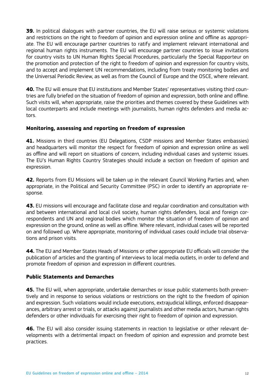**39.** In political dialogues with partner countries, the EU will raise serious or systemic violations and restrictions on the right to freedom of opinion and expression online and offline as appropriate. The EU will encourage partner countries to ratify and implement relevant international and regional human rights instruments. The EU will encourage partner countries to issue invitations for country visits to UN Human Rights Special Procedures, particularly the Special Rapporteur on the promotion and protection of the right to freedom of opinion and expression for country visits, and to accept and implement UN recommendations, including from treaty monitoring bodies and the Universal Periodic Review, as well as from the Council of Europe and the OSCE, where relevant.

**40.** The EU will ensure that EU institutions and Member States' representatives visiting third countries are fully briefed on the situation of freedom of opinion and expression, both online and offline. Such visits will, when appropriate, raise the priorities and themes covered by these Guidelines with local counterparts and include meetings with journalists, human rights defenders and media actors.

#### **Monitoring, assessing and reporting on freedom of expression**

**41.** Missions in third countries (EU Delegations, CSDP missions and Member States embassies) and headquarters will monitor the respect for freedom of opinion and expression online as well as offline and will report on situations of concern, including individual cases and systemic issues. The EU's Human Rights Country Strategies should include a section on freedom of opinion and expression.

**42.** Reports from EU Missions will be taken up in the relevant Council Working Parties and, when appropriate, in the Political and Security Committee (PSC) in order to identify an appropriate response.

**43.** EU missions will encourage and facilitate close and regular coordination and consultation with and between international and local civil society, human rights defenders, local and foreign correspondents and UN and regional bodies which monitor the situation of freedom of opinion and expression on the ground, online as well as offline. Where relevant, individual cases will be reported on and followed up. Where appropriate, monitoring of individual cases could include trial observations and prison visits.

**44.** The EU and Member States Heads of Missions or other appropriate EU officials will consider the publication of articles and the granting of interviews to local media outlets, in order to defend and promote freedom of opinion and expression in different countries.

#### **Public Statements and Demarches**

**45.** The EU will, when appropriate, undertake demarches or issue public statements both preventively and in response to serious violations or restrictions on the right to the freedom of opinion and expression. Such violations would include executions, extrajudicial killings, enforced disappearances, arbitrary arrest or trials, or attacks against journalists and other media actors, human rights defenders or other individuals for exercising their right to freedom of opinion and expression.

**46.** The EU will also consider issuing statements in reaction to legislative or other relevant developments with a detrimental impact on freedom of opinion and expression and promote best practices.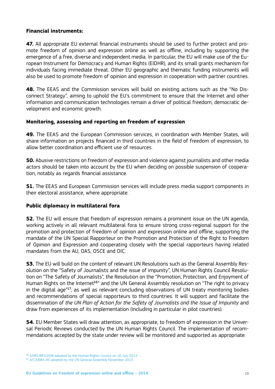#### **Financial instruments:**

**47.** All appropriate EU external financial instruments should be used to further protect and promote freedom of opinion and expression online as well as offline, including by supporting the emergence of a free, diverse and independent media. In particular, the EU will make use of the European Instrument for Democracy and Human Rights (EIDHR), and its small grants mechanism for individuals facing immediate threat. Other EU geographic and thematic funding instruments will also be used to promote freedom of opinion and expression in cooperation with partner countries.

**48.** The EEAS and the Commission services will build on existing actions such as the "No Disconnect Strategy", aiming to uphold the EU's commitment to ensure that the Internet and other information and communication technologies remain a driver of political freedom, democratic development and economic growth.

#### **Monitoring, assessing and reporting on freedom of expression**

**49.** The EEAS and the European Commission services, in coordination with Member States, will share information on projects financed in third countries in the field of freedom of expression, to allow better coordination and efficient use of resources.

**50.** Abusive restrictions on freedom of expression and violence against journalists and other media actors should be taken into account by the EU when deciding on possible suspension of cooperation, notably as regards financial assistance.

**51.** The EEAS and European Commission services will include press media support components in their electoral assistance, where appropriate.

#### **Public diplomacy in multilateral fora**

**52.** The EU will ensure that freedom of expression remains a prominent issue on the UN agenda, working actively in all relevant multilateral fora to ensure strong cross-regional support for the promotion and protection of freedom of opinion and expression online and offline, supporting the mandate of the UN Special Rapporteur on the Promotion and Protection of the Right to Freedom of Opinion and Expression and cooperating closely with the special rapporteurs having related mandates from the AU, OAS, OSCE and OIC.

**53.** The EU will build on the content of relevant UN Resolutions such as the General Assembly Resolution on the "Safety of Journalists and the issue of impunity", UN Human Rights Council Resolution on "The Safety of Journalists", the Resolution on the "Promotion, Protection, and Enjoyment of Human Rights on the Internet<sup>16</sup>" and the UN General Assembly resolution on "The right to privacy in the digital age $17$ ; as well as relevant concluding observations of UN treaty monitoring bodies and recommendations of special rapporteurs to third countries. It will support and facilitate the dissemination of *the UN Plan of Action for the Safety of Journalists and the Issue of Impunity* and draw from experiences of its implementation (including in particular in pilot countries).

**54.** EU Member States will draw attention, as appropriate, to freedom of expression in the Universal Periodic Reviews conducted by the UN Human Rights Council. The implementation of recommendations accepted by the state under review will be monitored and supported as appropriate.

<sup>&</sup>lt;sup>16</sup> A/HRC/RES/20/8 adopted by the Human Rights Council on 16 July 2012

<sup>&</sup>lt;sup>17</sup> A/C.3/68/L.45 adopted by the UN General Assembly November 2013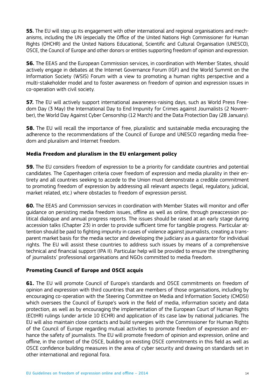**55.** The EU will step up its engagement with other international and regional organisations and mechanisms, including the UN (especially the Office of the United Nations High Commissioner for Human Rights (OHCHR) and the United Nations Educational, Scientific and Cultural Organisation (UNESCO), OSCE, the Council of Europe and other donors or entities supporting freedom of opinion and expression.

**56.** The EEAS and the European Commission services, in coordination with Member States, should actively engage in debates at the Internet Governance Forum (IGF) and the World Summit on the Information Society (WSIS) Forum with a view to promoting a human rights perspective and a multi-stakeholder model and to foster awareness on freedom of opinion and expression issues in co-operation with civil society.

**57.** The EU will actively support international awareness-raising days, such as World Press Freedom Day (3 May) the International Day to End Impunity for Crimes against Journalists (2 November), the World Day Against Cyber Censorship (12 March) and the Data Protection Day (28 January).

**58.** The EU will recall the importance of free, pluralistic and sustainable media encouraging the adherence to the recommendations of the Council of Europe and UNESCO regarding media freedom and pluralism and Internet freedom.

#### **Media Freedom and pluralism in the EU enlargement policy**

**59.** The EU considers freedom of expression to be a priority for candidate countries and potential candidates. The Copenhagen criteria cover freedom of expression and media plurality in their entirety and all countries seeking to accede to the Union must demonstrate a credible commitment to promoting freedom of expression by addressing all relevant aspects (legal, regulatory, judicial, market related, etc.) where obstacles to freedom of expression persist.

**60.** The EEAS and Commission services in coordination with Member States will monitor and offer guidance on persisting media freedom issues, offline as well as online, through preaccession political dialogue and annual progress reports. The issues should be raised at an early stage during accession talks (Chapter 23) in order to provide sufficient time for tangible progress. Particular attention should be paid to fighting impunity in cases of violence against journalists, creating a transparent market basis for the media sector and developing the judiciary as a guarantor for individual rights. The EU will assist these countries to address such issues by means of a comprehensive technical and financial support (IPA II). Particular help will be provided to ensure the strengthening of journalists' professional organisations and NGOs committed to media freedom.

#### **Promoting Council of Europe and OSCE acquis**

**61.** The EU will promote Council of Europe's standards and OSCE commitments on freedom of opinion and expression with third countries that are members of those organisations, including by encouraging co-operation with the Steering Committee on Media and Information Society (CMDSI) which oversees the Council of Europe's work in the field of media, information society and data protection, as well as by encouraging the implementation of the European Court of Human Rights (ECtHR) rulings (under article 10 ECHR) and application of its case law by national judiciaries. The EU will also maintain close contacts and build synergies with the Commissioner for Human Rights of the Council of Europe regarding mutual activities to promote freedom of expression and enhance the safety of journalists. The EU will promote freedom of opinion and expression, online and offline, in the context of the OSCE, building on existing OSCE commitments in this field as well as OSCE confidence building measures in the area of cyber security and drawing on standards set in other international and regional fora.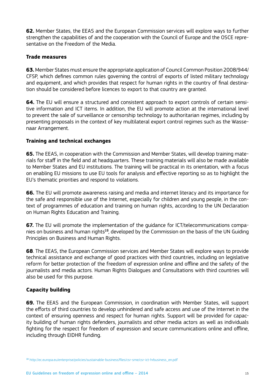**62.** Member States, the EEAS and the European Commission services will explore ways to further strengthen the capabilities of and the cooperation with the Council of Europe and the OSCE representative on the Freedom of the Media.

#### **Trade measures**

**63.** Member States must ensure the appropriate application of Council Common Position 2008/944/ CFSP, which defines common rules governing the control of exports of listed military technology and equipment, and which provides that respect for human rights in the country of final destination should be considered before licences to export to that country are granted.

**64.** The EU will ensure a structured and consistent approach to export controls of certain sensitive information and ICT items. In addition, the EU will promote action at the international level to prevent the sale of surveillance or censorship technology to authoritarian regimes, including by presenting proposals in the context of key multilateral export control regimes such as the Wassenaar Arrangement.

#### **Training and technical exchanges**

**65.** The EEAS, in cooperation with the Commission and Member States, will develop training materials for staff in the field and at headquarters. These training materials will also be made available to Member States and EU institutions. The training will be practical in its orientation, with a focus on enabling EU missions to use EU tools for analysis and effective reporting so as to highlight the EU's thematic priorities and respond to violations.

**66.** The EU will promote awareness raising and media and internet literacy and its importance for the safe and responsible use of the Internet, especially for children and young people, in the context of programmes of education and training on human rights, according to the UN Declaration on Human Rights Education and Training.

**67.** The EU will promote the implementation of the guidance for ICT/telecommunications companies on business and human rights<sup>18</sup>, developed by the Commission on the basis of the UN Guiding Principles on Business and Human Rights.

**68**. The EEAS, the European Commission services and Member States will explore ways to provide technical assistance and exchange of good practices with third countries, including on legislative reform for better protection of the freedom of expression online and offline and the safety of the journalists and media actors. Human Rights Dialogues and Consultations with third countries will also be used for this purpose.

#### **Capacity building**

**69.** The EEAS and the European Commission, in coordination with Member States, will support the efforts of third countries to develop unhindered and safe access and use of the Internet in the context of ensuring openness and respect for human rights. Support will be provided for capacity building of human rights defenders, journalists and other media actors as well as individuals fighting for the respect for freedom of expression and secure communications online and offline, including through EIDHR funding.

<sup>18</sup> http://ec.europa.eu/enterprise/policies/sustainable-business/files/csr-sme/csr-ict-hrbusiness\_en.pdf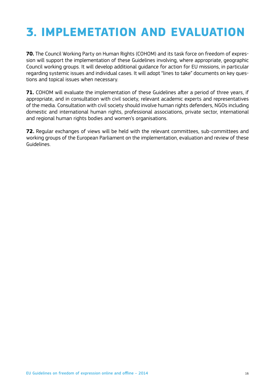## **3. IMPLEMETATION AND EVALUATION**

**70.** The Council Working Party on Human Rights (COHOM) and its task force on freedom of expression will support the implementation of these Guidelines involving, where appropriate, geographic Council working groups. It will develop additional guidance for action for EU missions, in particular regarding systemic issues and individual cases. It will adopt "lines to take" documents on key questions and topical issues when necessary.

**71.** COHOM will evaluate the implementation of these Guidelines after a period of three years, if appropriate, and in consultation with civil society, relevant academic experts and representatives of the media. Consultation with civil society should involve human rights defenders, NGOs including domestic and international human rights, professional associations, private sector, international and regional human rights bodies and women's organisations.

**72.** Regular exchanges of views will be held with the relevant committees, sub-committees and working groups of the European Parliament on the implementation, evaluation and review of these Guidelines.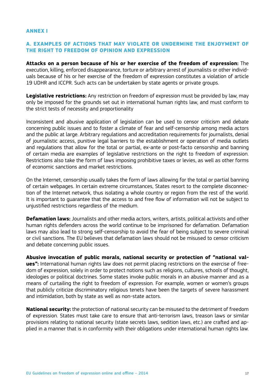#### **ANNEX I**

#### **A. EXAMPLES OF ACTIONS THAT MAY VIOLATE OR UNDERMINE THE ENJOYMENT OF THE RIGHT TO FREEDOM OF OPINION AND EXPRESSION**

**Attacks on a person because of his or her exercise of the freedom of expression:** The execution, killing, enforced disappearance, torture or arbitrary arrest of journalists or other individuals because of his or her exercise of the freedom of expression constitutes a violation of article 19 UDHR and ICCPR. Such acts can be undertaken by state agents or private groups.

**Legislative restrictions:** Any restriction on freedom of expression must be provided by law, may only be imposed for the grounds set out in international human rights law, and must conform to the strict tests of necessity and proportionality

Inconsistent and abusive application of legislation can be used to censor criticism and debate concerning public issues and to foster a climate of fear and self-censorship among media actors and the public at large. Arbitrary regulations and accreditation requirements for journalists, denial of journalistic access, punitive legal barriers to the establishment or operation of media outlets and regulations that allow for the total or partial, ex-ante or post-facto censorship and banning of certain media are examples of legislative restrictions on the right to freedom of expression. Restrictions also take the form of laws imposing prohibitive taxes or levies, as well as other forms of economic sanctions and market restrictions.

On the Internet, censorship usually takes the form of laws allowing for the total or partial banning of certain webpages. In certain extreme circumstances, States resort to the complete disconnection of the Internet network, thus isolating a whole country or region from the rest of the world. It is important to guarantee that the access to and free flow of information will not be subject to unjustified restrictions regardless of the medium.

**Defamation laws:** Journalists and other media actors, writers, artists, political activists and other human rights defenders across the world continue to be imprisoned for defamation. Defamation laws may also lead to strong self-censorship to avoid the fear of being subject to severe criminal or civil sanctions. The EU believes that defamation laws should not be misused to censor criticism and debate concerning public issues.

**Abusive invocation of public morals, national security or protection of "national values":** International human rights law does not permit placing restrictions on the exercise of freedom of expression, solely in order to protect notions such as religions, cultures, schools of thought, ideologies or political doctrines. Some states invoke public morals in an abusive manner and as a means of curtailing the right to freedom of expression. For example, women or women's groups that publicly criticize discriminatory religious tenets have been the targets of severe harassment and intimidation, both by state as well as non-state actors.

**National security:** the protection of national security can be misused to the detriment of freedom of expression. States must take care to ensure that anti-terrorism laws, treason laws or similar provisions relating to national security (state secrets laws, sedition laws, etc.) are crafted and applied in a manner that is in conformity with their obligations under international human rights law.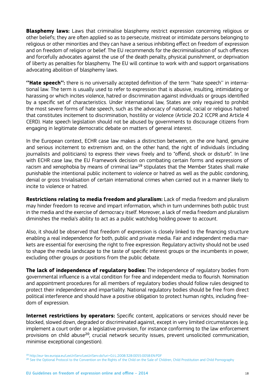**Blasphemy laws:** Laws that criminalise blasphemy restrict expression concerning religious or other beliefs; they are often applied so as to persecute, mistreat or intimidate persons belonging to religious or other minorities and they can have a serious inhibiting effect on freedom of expression and on freedom of religion or belief. The EU recommends for the decriminalisation of such offences and forcefully advocates against the use of the death penalty, physical punishment, or deprivation of liberty as penalties for blasphemy. The EU will continue to work with and support organisations advocating abolition of blasphemy laws.

**''Hate speech'':** there is no universally accepted definition of the term ''hate speech'' in international law. The term is usually used to refer to expression that is abusive, insulting, intimidating or harassing or which incites violence, hatred or discrimination against individuals or groups identified by a specific set of characteristics. Under international law, States are only required to prohibit the most severe forms of hate speech, such as the advocacy of national, racial or religious hatred that constitutes incitement to discrimination, hostility or violence (Article 20.2 ICCPR and Article 4 CERD). Hate speech legislation should not be abused by governments to discourage citizens from engaging in legitimate democratic debate on matters of general interest.

In the European context, ECHR case law makes a distinction between, on the one hand, genuine and serious incitement to extremism and, on the other hand, the right of individuals (including journalists and politicians) to express their views freely and to "offend, shock or disturb". In line with ECHR case law, the EU Framework decision on combating certain forms and expressions of racism and xenophobia by means of criminal law<sup>19</sup> stipulates that the Member States shall make punishable the intentional public incitement to violence or hatred as well as the public condoning, denial or gross trivialisation of certain international crimes when carried out in a manner likely to incite to violence or hatred.

**Restrictions relating to media freedom and pluralism:** Lack of media freedom and pluralism may hinder freedom to receive and impart information, which in turn undermines both public trust in the media and the exercise of democracy itself. Moreover, a lack of media freedom and pluralism diminishes the media's ability to act as a public watchdog holding power to account.

Also, it should be observed that freedom of expression is closely linked to the financing structure enabling a real independence for both, public and private media. Fair and independent media markets are essential for exercising the right to free expression. Regulatory activity should not be used to shape the media landscape to the taste of specific interest groups or the incumbents in power, excluding other groups or positions from the public debate.

**The lack of independence of regulatory bodies:** The independence of regulatory bodies from governmental influence is a vital condition for free and independent media to flourish. Nomination and appointment procedures for all members of regulatory bodies should follow rules designed to protect their independence and impartiality. National regulatory bodies should be free from direct political interference and should have a positive obligation to protect human rights, including freedom of expression.

**Internet restrictions by operators:** Specific content, applications or services should never be blocked, slowed down, degraded or discriminated against, except in very limited circumstances (e.g. implement a court order or a legislative provision, for instance conforming to the law enforcement provisions on child abuse<sup>20</sup>, crucial network security issues, prevent unsolicited communication, minimise exceptional congestion).

19 http://eur-lex.europa.eu/LexUriServ/LexUriServ.do?uri=OJ:L:2008:328:0055:0058:EN:PDF

<sup>20</sup> See the Optional Protocol to the Convention on the Rights of the Child on the Sale of Children, Child Prostitution and Child Pornography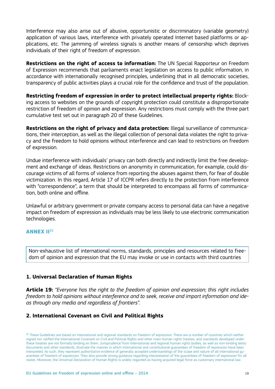Interference may also arise out of abusive, opportunistic or discriminatory (variable geometry) application of various laws, interference with privately operated Internet based platforms or applications, etc. The jamming of wireless signals is another means of censorship which deprives individuals of their right of freedom of expression.

**Restrictions on the right of access to information:** The UN Special Rapporteur on Freedom of Expression recommends that parliaments enact legislation on access to public information, in accordance with internationally recognised principles, underlining that in all democratic societies, transparency of public activities plays a crucial role for the confidence and trust of the population.

**Restricting freedom of expression in order to protect intellectual property rights:** Blocking access to websites on the grounds of copyright protection could constitute a disproportionate restriction of freedom of opinion and expression. Any restrictions must comply with the three part cumulative test set out in paragraph 20 of these Guidelines.

**Restrictions on the right of privacy and data protection:** Illegal surveillance of communications, their interception, as well as the illegal collection of personal data violates the right to privacy and the freedom to hold opinions without interference and can lead to restrictions on freedom of expression.

Undue interference with individuals' privacy can both directly and indirectly limit the free development and exchange of ideas. Restrictions on anonymity in communication, for example, could discourage victims of all forms of violence from reporting the abuses against them, for fear of double victimization. In this regard, Article 17 of ICCPR refers directly to the protection from interference with "correspondence", a term that should be interpreted to encompass all forms of communication, both online and offline.

Unlawful or arbitrary government or private company access to personal data can have a negative impact on freedom of expression as individuals may be less likely to use electronic communication technologies.

#### **ANNEX II<sup>21</sup>**

Non-exhaustive list of international norms, standards, principles and resources related to freedom of opinion and expression that the EU may invoke or use in contacts with third countries

#### **1. Universal Declaration of Human Rights**

**Article 19:** *"Everyone has the right to the freedom of opinion and expression; this right includes freedom to hold opinions without interference and to seek, receive and impart information and ideas through any media and regardless of frontiers".*

#### **2. International Covenant on Civil and Political Rights**

<sup>&</sup>lt;sup>21</sup> These Guidelines are based on international and regional standards on freedom of expression. There are a number of countries which neither signed nor ratified the International Covenant on Civil and Political Rights and other main human rights treaties, and standards developed under these treaties are not formally binding on them. Jurisprudence from international and regional human rights bodies, as well as non-binding texts/ documents and other standards, illustrate the manner in which international and constitutional guarantees of freedom of expression have been interpreted. As such, they represent authoritative evidence of generally accepted understandings of the scope and nature of all international guarantees of freedom of expression. They also provide strong guidance regarding interpretation of the guarantees of freedom of expression for all states. Moreover, the Universal Declaration of Human Rights is widely regarded as having acquired legal force as customary international law.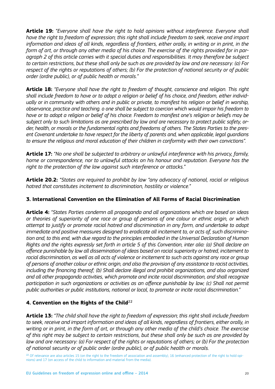**Article 19:** *"Everyone shall have the right to hold opinions without interference. Everyone shall have the right to freedom of expression; this right shall include freedom to seek, receive and impart information and ideas of all kinds, regardless of frontiers, either orally, in writing or in print, in the form of art, or through any other media of his choice. The exercise of the rights provided for in paragraph 2 of this article carries with it special duties and responsibilities. It may therefore be subject to certain restrictions, but these shall only be such as are provided by law and are necessary: (a) For respect of the rights or reputations of others; (b) For the protection of national security or of public order (ordre public), or of public health or morals."*

**Article 18:** *"Everyone shall have the right to freedom of thought, conscience and religion. This right shall include freedom to have or to adopt a religion or belief of his choice, and freedom, either individually or in community with others and in public or private, to manifest his religion or belief in worship, observance, practice and teaching. o one shall be subject to coercion which would impair his freedom to have or to adopt a religion or belief of his choice. Freedom to manifest one's religion or beliefs may be subject only to such limitations as are prescribed by law and are necessary to protect public safety, order, health, or morals or the fundamental rights and freedoms of others. The States Parties to the present Covenant undertake to have respect for the liberty of parents and, when applicable, legal guardians to ensure the religious and moral education of their children in conformity with their own convictions".*

**Article 17:** *"No one shall be subjected to arbitrary or unlawful interference with his privacy, family, home or correspondence, nor to unlawful attacks on his honour and reputation. Everyone has the right to the protection of the law against such interference or attacks."*

**Article 20.2:** *"States are required to prohibit by law "any advocacy of national, racial or religious hatred that constitutes incitement to discrimination, hostility or violence."*

#### **3. International Convention on the Elimination of All Forms of Racial Discrimination**

**Article 4:** *"States Parties condemn all propaganda and all organizations which are based on ideas or theories of superiority of one race or group of persons of one colour or ethnic origin, or which attempt to justify or promote racial hatred and discrimination in any form, and undertake to adopt immediate and positive measures designed to eradicate all incitement to, or acts of, such discrimination and, to this end, with due regard to the principles embodied in the Universal Declaration of Human Rights and the rights expressly set forth in article 5 of this Convention, inter alia: (a) Shall declare an offence punishable by law all dissemination of ideas based on racial superiority or hatred, incitement to racial discrimination, as well as all acts of violence or incitement to such acts against any race or group of persons of another colour or ethnic origin, and also the provision of any assistance to racist activities, including the financing thereof; (b) Shall declare illegal and prohibit organizations, and also organized and all other propaganda activities, which promote and incite racial discrimination, and shall recognize participation in such organizations or activities as an offence punishable by law; (c) Shall not permit public authorities or public institutions, national or local, to promote or incite racial discrimination."*

#### **4. Convention on the Rights of the Child**²²

**Article 13:** *"The child shall have the right to freedom of expression; this right shall include freedom to seek, receive and impart information and ideas of all kinds, regardless of frontiers, either orally, in writing or in print, in the form of art, or through any other media of the child's choice. The exercise of this right may be subject to certain restrictions, but these shall only be such as are provided by law and are necessary: (a) For respect of the rights or reputations of others; or (b) For the protection of national security or of public order (ordre public), or of public health or morals.*

<sup>22</sup> Of relevance are also articles 15 (on the right to the freedom of association and assembly), 16 (enhanced protection of the right to hold opinions) and 17 (on access of the child to information and material from the media).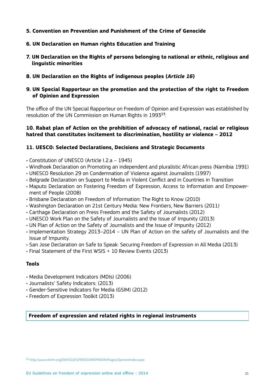#### **5. Convention on Prevention and Punishment of the Crime of Genocide**

#### **6. UN Declaration on Human rights Education and Training**

- **7. UN Declaration on the Rights of persons belonging to national or ethnic, religious and linguistic minorities**
- **8. UN Declaration on the Rights of indigenous peoples (***Article 16***)**

#### **9. UN Special Rapporteur on the promotion and the protection of the right to Freedom of Opinion and Expression**

The office of the UN Special Rapporteur on Freedom of Opinion and Expression was established by resolution of the UN Commission on Human Rights in 1993<sup>23</sup>.

#### **10. Rabat plan of Action on the prohibition of advocacy of national, racial or religious hatred that constitutes incitement to discrimination, hostility or violence – 2012**

#### **11. UESCO: Selected Declarations, Decisions and Strategic Documents**

- Constitution of UNESCO (Article I.2.a 1945)
- Windhoek Declaration on Promoting an independent and pluralistic African press (Namibia 1991)
- UNESCO Resolution 29 on Condemnation of Violence against Journalists (1997)
- Belgrade Declaration on Support to Media in Violent Conflict and in Countries in Transition
- Maputo Declaration on Fostering Freedom of Expression, Access to Information and Empowerment of People (2008)
- Brisbane Declaration on Freedom of Information: The Right to Know (2010)
- Washington Declaration on 21st Century Media: New Frontiers, New Barriers (2011)
- Carthage Declaration on Press Freedom and the Safety of Journalists (2012)
- UNESCO Work Plan on the Safety of Journalists and the Issue of Impunity (2013)
- UN Plan of Action on the Safety of Journalists and the Issue of Impunity (2012)
- Implementation Strategy 2013–2014 UN Plan of Action on the safety of Journalists and the Issue of Impunity.
- San Jose Declaration on Safe to Speak: Securing Freedom of Expression in All Media (2013)
- Final Statement of the First WSIS + 10 Review Events (2013)

#### **Tools**

- Media Development Indicators (MDIs) (2006)
- Journalists' Safety Indicators: (2013)
- Gender-Sensitive Indicators for Media (GSIM) (2012)
- Freedom of Expression Toolkit (2013)

#### **Freedom of expression and related rights in regional instruments**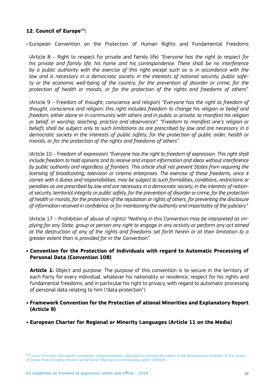#### 12. Council of Europe<sup>24</sup>:

• European Convention on the Protection of Human Rights and Fundamental Freedoms

(Article 8 – Right to respect for private and family life) *"Everyone has the right to respect for his private and family life, his home and his correspondence. There shall be no interference by a public authority with the exercise of this right except such as is in accordance with the law and is necessary in a democratic society in the interests of national security, public safety or the economic well-being of the country, for the prevention of disorder or crime, for the protection of health or morals, or for the protection of the rights and freedoms of others".*

(Article 9 – Freedom of thought, conscience and religion) *"Everyone has the right to freedom of thought, conscience and religion; this right includes freedom to change his religion or belief and freedom, either alone or in community with others and in public or private, to manifest his religion or belief, in worship, teaching, practice and observance". "Freedom to manifest one's religion or beliefs shall be subject only to such limitations as are prescribed by law and are necessary in a democratic society in the interests of public safety, for the protection of public order, health or morals, or for the protection of the rights and freedoms of others".*

 (Article 10 – Freedom of expression) *"Everyone has the right to freedom of expression. This right shall include freedom to hold opinions and to receive and impart information and ideas without interference by public authority and regardless of frontiers. This article shall not prevent States from requiring the licensing of broadcasting, television or cinema enterprises. The exercise of these freedoms, since it carries with it duties and responsibilities, may be subject to such formalities, conditions, restrictions or penalties as are prescribed by law and are necessary in a democratic society, in the interests of national security, territorial integrity or public safety, for the prevention of disorder or crime, for the protection of health or morals, for the protection of the reputation or rights of others, for preventing the disclosure of information received in confidence, or for maintaining the authority and impartiality of the judiciary".*

 (Article 17 – Prohibition of abuse of rights) *"Nothing in this Convention may be interpreted as implying for any State, group or person any right to engage in any activity or perform any act aimed at the destruction of any of the rights and freedoms set forth herein or at their limitation to a greater extent than is provided for in the Convention".*

#### **• Convention for the Protection of Individuals with regard to Automatic Processing of Personal Data (Convention 108)**

 **Article 1:** Object and purpose. The purpose of this convention is to secure in the territory of each Party for every individual, whatever his nationality or residence, respect for his rights and fundamental freedoms, and in particular his right to privacy, with regard to automatic processing of personal data relating to him ("data protection").

#### **• Framework Convention for the Protection of ational Minorities and Explanatory Report (Article 9)**

**• European Charter for Regional or Minority Languages (Article 11 on the Media)**

<sup>&</sup>lt;sup>24</sup> Council of Europe instruments conventions, recommendations, declarations including documents of the Parliamentary Assembly of the Council of Europe that are highly relevant can be found: https://wcd.coe.int/ViewDoc.jsp?id=1835645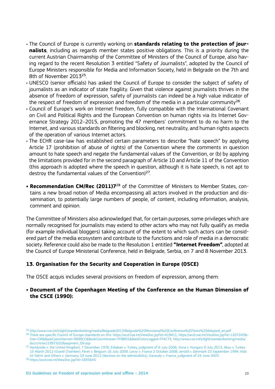- The Council of Europe is currently working on **standards relating to the protection of journalists**, including as regards member states positive obligations. This is a priority during the current Austrian Chairmanship of the Committee of Ministers of the Council of Europe, also having regard to the recent Resolution 3 entitled "Safety of Journalists", adopted by the Council of Europe Ministers responsible for Media and Information Society, held in Belgrade on the 7th and 8th of November 2013<sup>25</sup>.
- UNESCO (senior officials) has asked the Council of Europe to consider the subject of safety of journalists as an indicator of state fragility. Given that violence against journalists thrives in the absence of freedom of expression, safety of journalists can indeed be a high value indicator of the respect of freedom of expression and freedom of the media in a particular community<sup>26</sup>.
- Council of Europe's work on Internet freedom, fully compatible with the International Covenant on Civil and Political Rights and the European Convention on human rights via its Internet Governance Strategy 2012–2015, promoting the 47 members' commitment to do no harm to the Internet, and various standards on filtering and blocking, net neutrality, and human rights aspects of the operation of various Internet actors.
- The ECHR case-law has established certain parameters to describe "hate speech" by applying Article 17 (prohibition of abuse of rights) of the Convention where the comments in question amount to hate speech and negate the fundamental values of the Convention, or (b) by applying the limitations provided for in the second paragraph of Article 10 and Article 11 of the Convention (this approach is adopted where the speech in question, although it is hate speech, is not apt to destroy the fundamental values of the Convention)<sup>27</sup>.
- Recommendation CM/Rec (2011)7<sup>28</sup> of the Committee of Ministers to Member States, contains a new broad notion of Media encompassing all actors involved in the production and dissemination, to potentially large numbers of people, of content, including information, analysis, comment and opinion.

The Committee of Ministers also acknowledged that, for certain purposes, some privileges which are normally recognised for journalists may extend to other actors who may not fully qualify as media (for example individual bloggers) taking account of the extent to which such actors can be considered part of the media ecosystem and contribute to the functions and role of media in a democratic society. Reference could also be made to the Resolution 1 entitled **"Internet Freedom"**, adopted at the Council of Europe Ministerial Conference, held in Belgrade, Serbia, on 7 and 8 November 2013.

#### **13. Organisation for the Security and Cooperation in Europe (OSCE)**

The OSCE acquis includes several provisions on freedom of expression, among them:

#### **• Document of the Copenhagen Meeting of the Conference on the Human Dimension of the CSCE (1990):**

<sup>26</sup> There are specific Council of Europe standards on this: https://wcd.coe.int/ViewDoc.jsp?id=419411, https://wcd.coe.int/ViewDoc.jsp?id=1207243&-Site=CM&BackColorInternet=9999CC&BackColorIntranet=FFBB55&BackColorLogged=FFAC75, http://www.coe.int/t/dghl/standardsetting/media/ doc/cm/rec(1997)020&expmem\_EN.asp

²⁵ http://www.coe.int/t/dghl/standardsetting/media/Belgrade2013/Belgrade%20Ministerial%20Conference%20Texts%20Adopted\_en.pdf

<sup>&</sup>lt;sup>27</sup> Handyside v. the United Kingdom, 7 December 1976, Erbakan v. Turkey, judgment of 6 July 2006, Vona v. Hungary 9 July 2013, Aksu v. Turkey 15 March 2012 (Grand Chamber), Féret v. Belgium 16 July 2009, Leroy v. France 2 October 2008, Jersild v. Denmark 23 September 1994, Hizb Ut-Tahrir and Others v. Germany 19 June 2012 (decision on the admissibility), Garaudy v. France, judgment of 24 June 2003

<sup>&</sup>lt;sup>28</sup> https://wcd.coe.int/ViewDoc.jsp?id=1835645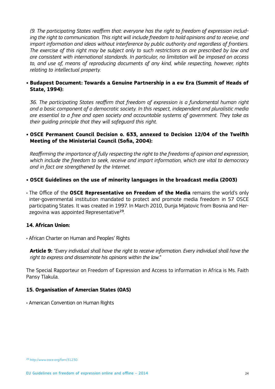*(9. The participating States reaffirm that: everyone has the right to freedom of expression including the right to communication. This right will include freedom to hold opinions and to receive, and impart information and ideas without interference by public authority and regardless of frontiers. The exercise of this right may be subject only to such restrictions as are prescribed by law and are consistent with international standards. In particular, no limitation will be imposed on access to, and use of, means of reproducing documents of any kind, while respecting, however, rights relating to intellectual property.*

#### **• Budapest Document: Towards a Genuine Partnership in a ew Era (Summit of Heads of State, 1994):**

 *36. The participating States reaffirm that freedom of expression is a fundamental human right and a basic component of a democratic society. In this respect, independent and pluralistic media are essential to a free and open society and accountable systems of government. They take as their guiding principle that they will safeguard this right.*

#### **• OSCE Permanent Council Decision o. 633, annexed to Decision 12/04 of the Twelfth Meeting of the Ministerial Council (Sofia, 2004):**

*Reaffirming the importance of fully respecting the right to the freedoms of opinion and expression, which include the freedom to seek, receive and impart information, which are vital to democracy and in fact are strengthened by the Internet.*

#### **• OSCE Guidelines on the use of minority languages in the broadcast media (2003)**

• The Office of the **OSCE Representative on Freedom of the Media** remains the world's only inter-governmental institution mandated to protect and promote media freedom in 57 OSCE participating States. It was created in 1997. In March 2010, Dunja Mijatovic from Bosnia and Herzegovina was appointed Representative<sup>29</sup>.

#### **14. African Union:**

• African Charter on Human and Peoples' Rights

 **Article 9:** *"Every individual shall have the right to receive information. Every individual shall have the right to express and disseminate his opinions within the law."*

The Special Rapporteur on Freedom of Expression and Access to information in Africa is Ms. Faith Pansy Tlakula.

#### **15. Organisation of Amercian States (OAS)**

• American Convention on Human Rights

<sup>&</sup>lt;sup>29</sup> http://www.osce.org/fom/31230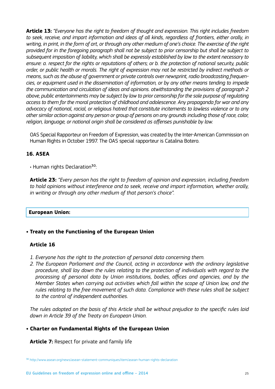**Article 13:** *"Everyone has the right to freedom of thought and expression. This right includes freedom to seek, receive, and impart information and ideas of all kinds, regardless of frontiers, either orally, in writing, in print, in the form of art, or through any other medium of one's choice. The exercise of the right provided for in the foregoing paragraph shall not be subject to prior censorship but shall be subject to subsequent imposition of liability, which shall be expressly established by law to the extent necessary to ensure: a. respect for the rights or reputations of others; or b. the protection of national security, public order, or public health or morals. The right of expression may not be restricted by indirect methods or means, such as the abuse of government or private controls over newsprint, radio broadcasting frequencies, or equipment used in the dissemination of information, or by any other means tending to impede the communication and circulation of ideas and opinions. otwithstanding the provisions of paragraph 2 above, public entertainments may be subject by law to prior censorship for the sole purpose of regulating access to them for the moral protection of childhood and adolescence. Any propaganda for war and any advocacy of national, racial, or religious hatred that constitute incitements to lawless violence or to any other similar action against any person or group of persons on any grounds including those of race, color, religion, language, or national origin shall be considered as offenses punishable by law.*

 OAS Special Rapporteur on Freedom of Expression, was created by the Inter-American Commission on Human Rights in October 1997. The OAS special rapporteur is Catalina Botero.

#### **16. ASEA**

 $\cdot$  Human rights Declaration<sup>30</sup>:

 **Article 23:** *"Every person has the right to freedom of opinion and expression, including freedom to hold opinions without interference and to seek, receive and impart information, whether orally, in writing or through any other medium of that person's choice".*

#### **European Union:**

#### **• Treaty on the Functioning of the European Union**

#### **Article 16**

- *1. Everyone has the right to the protection of personal data concerning them.*
- *2. The European Parliament and the Council, acting in accordance with the ordinary legislative procedure, shall lay down the rules relating to the protection of individuals with regard to the processing of personal data by Union institutions, bodies, offices and agencies, and by the Member States when carrying out activities which fall within the scope of Union law, and the rules relating to the free movement of such data. Compliance with these rules shall be subject to the control of independent authorities.*

*The rules adopted on the basis of this Article shall be without prejudice to the specific rules laid down in Article 39 of the Treaty on European Union.*

#### **• Charter on Fundamental Rights of the European Union**

**Article 7:** Respect for private and family life

<sup>30</sup> http://www.asean.org/news/asean-statement-communiques/item/asean-human-rights-declaration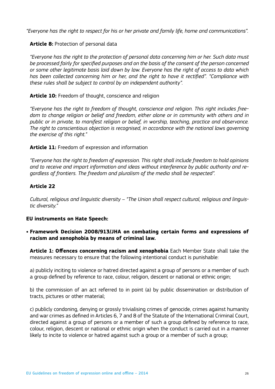*"Everyone has the right to respect for his or her private and family life, home and communications".*

#### **Article 8:** Protection of personal data

 *"Everyone has the right to the protection of personal data concerning him or her. Such data must be processed fairly for specified purposes and on the basis of the consent of the person concerned or some other legitimate basis laid down by law. Everyone has the right of access to data which has been collected concerning him or her, and the right to have it rectified". "Compliance with these rules shall be subject to control by an independent authority".*

#### **Article 10:** Freedom of thought, conscience and religion

 *"Everyone has the right to freedom of thought, conscience and religion. This right includes freedom to change religion or belief and freedom, either alone or in community with others and in public or in private, to manifest religion or belief, in worship, teaching, practice and observance. The right to conscientious objection is recognised, in accordance with the national laws governing the exercise of this right."*

#### **Article 11:** Freedom of expression and information

 *"Everyone has the right to freedom of expression. This right shall include freedom to hold opinions and to receive and impart information and ideas without interference by public authority and regardless of frontiers. The freedom and pluralism of the media shall be respected".*

#### **Article 22**

 *Cultural, religious and linguistic diversity – "The Union shall respect cultural, religious and linguistic diversity."*

#### **EU instruments on Hate Speech:**

**• Framework Decision 2008/913/JHA on combating certain forms and expressions of racism and xenophobia by means of criminal law.**

 **Article 1: Offences concerning racism and xenophobia** Each Member State shall take the measures necessary to ensure that the following intentional conduct is punishable:

 a) publicly inciting to violence or hatred directed against a group of persons or a member of such a group defined by reference to race, colour, religion, descent or national or ethnic origin;

 b) the commission of an act referred to in point (a) by public dissemination or distribution of tracts, pictures or other material;

 c) publicly condoning, denying or grossly trivialising crimes of genocide, crimes against humanity and war crimes as defined in Articles 6, 7 and 8 of the Statute of the International Criminal Court, directed against a group of persons or a member of such a group defined by reference to race, colour, religion, descent or national or ethnic origin when the conduct is carried out in a manner likely to incite to violence or hatred against such a group or a member of such a group;